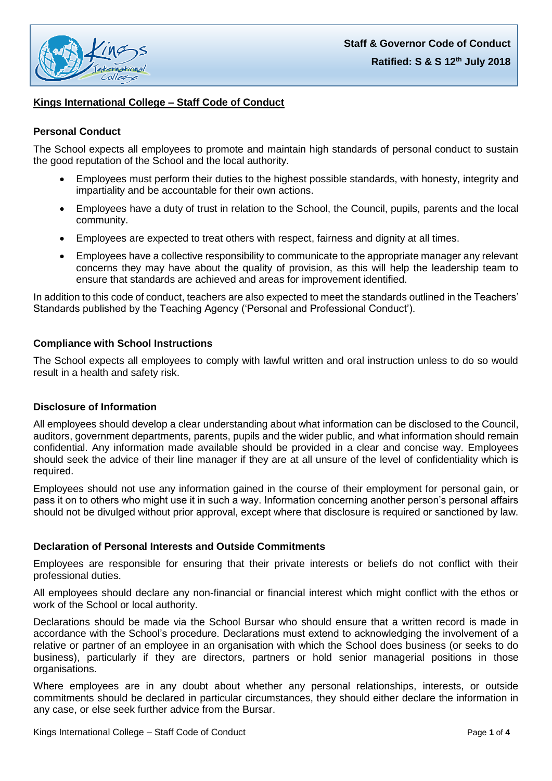

# **Kings International College – Staff Code of Conduct**

### **Personal Conduct**

The School expects all employees to promote and maintain high standards of personal conduct to sustain the good reputation of the School and the local authority.

- Employees must perform their duties to the highest possible standards, with honesty, integrity and impartiality and be accountable for their own actions.
- Employees have a duty of trust in relation to the School, the Council, pupils, parents and the local community.
- Employees are expected to treat others with respect, fairness and dignity at all times.
- Employees have a collective responsibility to communicate to the appropriate manager any relevant concerns they may have about the quality of provision, as this will help the leadership team to ensure that standards are achieved and areas for improvement identified.

In addition to this code of conduct, teachers are also expected to meet the standards outlined in the Teachers' Standards published by the Teaching Agency ('Personal and Professional Conduct').

## **Compliance with School Instructions**

The School expects all employees to comply with lawful written and oral instruction unless to do so would result in a health and safety risk.

#### **Disclosure of Information**

All employees should develop a clear understanding about what information can be disclosed to the Council, auditors, government departments, parents, pupils and the wider public, and what information should remain confidential. Any information made available should be provided in a clear and concise way. Employees should seek the advice of their line manager if they are at all unsure of the level of confidentiality which is required.

Employees should not use any information gained in the course of their employment for personal gain, or pass it on to others who might use it in such a way. Information concerning another person's personal affairs should not be divulged without prior approval, except where that disclosure is required or sanctioned by law.

#### **Declaration of Personal Interests and Outside Commitments**

Employees are responsible for ensuring that their private interests or beliefs do not conflict with their professional duties.

All employees should declare any non-financial or financial interest which might conflict with the ethos or work of the School or local authority.

Declarations should be made via the School Bursar who should ensure that a written record is made in accordance with the School's procedure. Declarations must extend to acknowledging the involvement of a relative or partner of an employee in an organisation with which the School does business (or seeks to do business), particularly if they are directors, partners or hold senior managerial positions in those organisations.

Where employees are in any doubt about whether any personal relationships, interests, or outside commitments should be declared in particular circumstances, they should either declare the information in any case, or else seek further advice from the Bursar.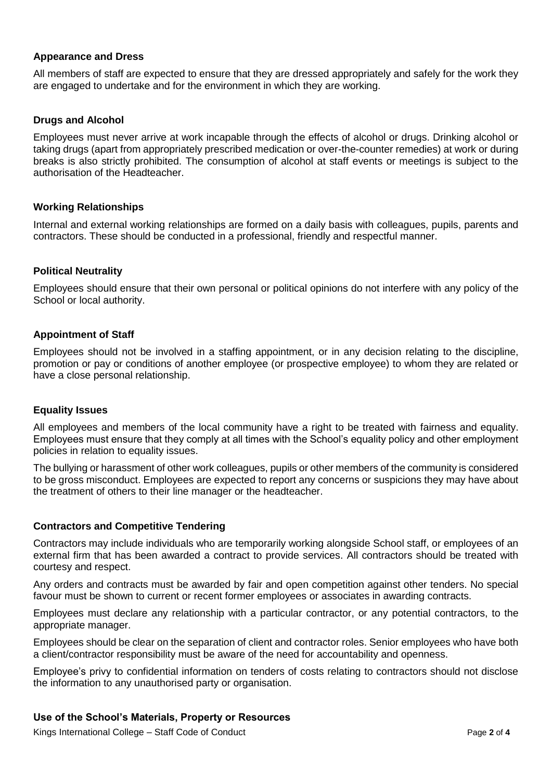## **Appearance and Dress**

All members of staff are expected to ensure that they are dressed appropriately and safely for the work they are engaged to undertake and for the environment in which they are working.

## **Drugs and Alcohol**

Employees must never arrive at work incapable through the effects of alcohol or drugs. Drinking alcohol or taking drugs (apart from appropriately prescribed medication or over-the-counter remedies) at work or during breaks is also strictly prohibited. The consumption of alcohol at staff events or meetings is subject to the authorisation of the Headteacher.

#### **Working Relationships**

Internal and external working relationships are formed on a daily basis with colleagues, pupils, parents and contractors. These should be conducted in a professional, friendly and respectful manner.

#### **Political Neutrality**

Employees should ensure that their own personal or political opinions do not interfere with any policy of the School or local authority.

## **Appointment of Staff**

Employees should not be involved in a staffing appointment, or in any decision relating to the discipline, promotion or pay or conditions of another employee (or prospective employee) to whom they are related or have a close personal relationship.

#### **Equality Issues**

All employees and members of the local community have a right to be treated with fairness and equality. Employees must ensure that they comply at all times with the School's equality policy and other employment policies in relation to equality issues.

The bullying or harassment of other work colleagues, pupils or other members of the community is considered to be gross misconduct. Employees are expected to report any concerns or suspicions they may have about the treatment of others to their line manager or the headteacher.

#### **Contractors and Competitive Tendering**

Contractors may include individuals who are temporarily working alongside School staff, or employees of an external firm that has been awarded a contract to provide services. All contractors should be treated with courtesy and respect.

Any orders and contracts must be awarded by fair and open competition against other tenders. No special favour must be shown to current or recent former employees or associates in awarding contracts.

Employees must declare any relationship with a particular contractor, or any potential contractors, to the appropriate manager.

Employees should be clear on the separation of client and contractor roles. Senior employees who have both a client/contractor responsibility must be aware of the need for accountability and openness.

Employee's privy to confidential information on tenders of costs relating to contractors should not disclose the information to any unauthorised party or organisation.

## **Use of the School's Materials, Property or Resources**

Kings International College – Staff Code of Conduct **Page 2** of 4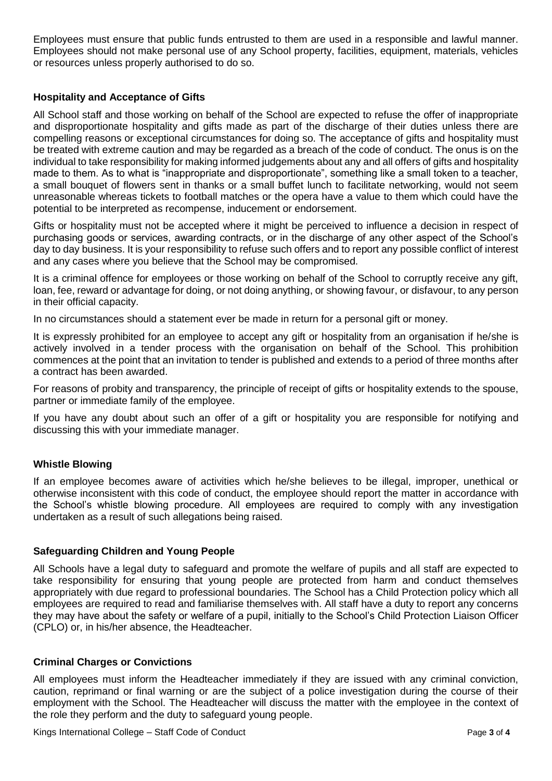Employees must ensure that public funds entrusted to them are used in a responsible and lawful manner. Employees should not make personal use of any School property, facilities, equipment, materials, vehicles or resources unless properly authorised to do so.

## **Hospitality and Acceptance of Gifts**

All School staff and those working on behalf of the School are expected to refuse the offer of inappropriate and disproportionate hospitality and gifts made as part of the discharge of their duties unless there are compelling reasons or exceptional circumstances for doing so. The acceptance of gifts and hospitality must be treated with extreme caution and may be regarded as a breach of the code of conduct. The onus is on the individual to take responsibility for making informed judgements about any and all offers of gifts and hospitality made to them. As to what is "inappropriate and disproportionate", something like a small token to a teacher, a small bouquet of flowers sent in thanks or a small buffet lunch to facilitate networking, would not seem unreasonable whereas tickets to football matches or the opera have a value to them which could have the potential to be interpreted as recompense, inducement or endorsement.

Gifts or hospitality must not be accepted where it might be perceived to influence a decision in respect of purchasing goods or services, awarding contracts, or in the discharge of any other aspect of the School's day to day business. It is your responsibility to refuse such offers and to report any possible conflict of interest and any cases where you believe that the School may be compromised.

It is a criminal offence for employees or those working on behalf of the School to corruptly receive any gift, loan, fee, reward or advantage for doing, or not doing anything, or showing favour, or disfavour, to any person in their official capacity.

In no circumstances should a statement ever be made in return for a personal gift or money.

It is expressly prohibited for an employee to accept any gift or hospitality from an organisation if he/she is actively involved in a tender process with the organisation on behalf of the School. This prohibition commences at the point that an invitation to tender is published and extends to a period of three months after a contract has been awarded.

For reasons of probity and transparency, the principle of receipt of gifts or hospitality extends to the spouse, partner or immediate family of the employee.

If you have any doubt about such an offer of a gift or hospitality you are responsible for notifying and discussing this with your immediate manager.

## **Whistle Blowing**

If an employee becomes aware of activities which he/she believes to be illegal, improper, unethical or otherwise inconsistent with this code of conduct, the employee should report the matter in accordance with the School's whistle blowing procedure. All employees are required to comply with any investigation undertaken as a result of such allegations being raised.

## **Safeguarding Children and Young People**

All Schools have a legal duty to safeguard and promote the welfare of pupils and all staff are expected to take responsibility for ensuring that young people are protected from harm and conduct themselves appropriately with due regard to professional boundaries. The School has a Child Protection policy which all employees are required to read and familiarise themselves with. All staff have a duty to report any concerns they may have about the safety or welfare of a pupil, initially to the School's Child Protection Liaison Officer (CPLO) or, in his/her absence, the Headteacher.

## **Criminal Charges or Convictions**

All employees must inform the Headteacher immediately if they are issued with any criminal conviction, caution, reprimand or final warning or are the subject of a police investigation during the course of their employment with the School. The Headteacher will discuss the matter with the employee in the context of the role they perform and the duty to safeguard young people.